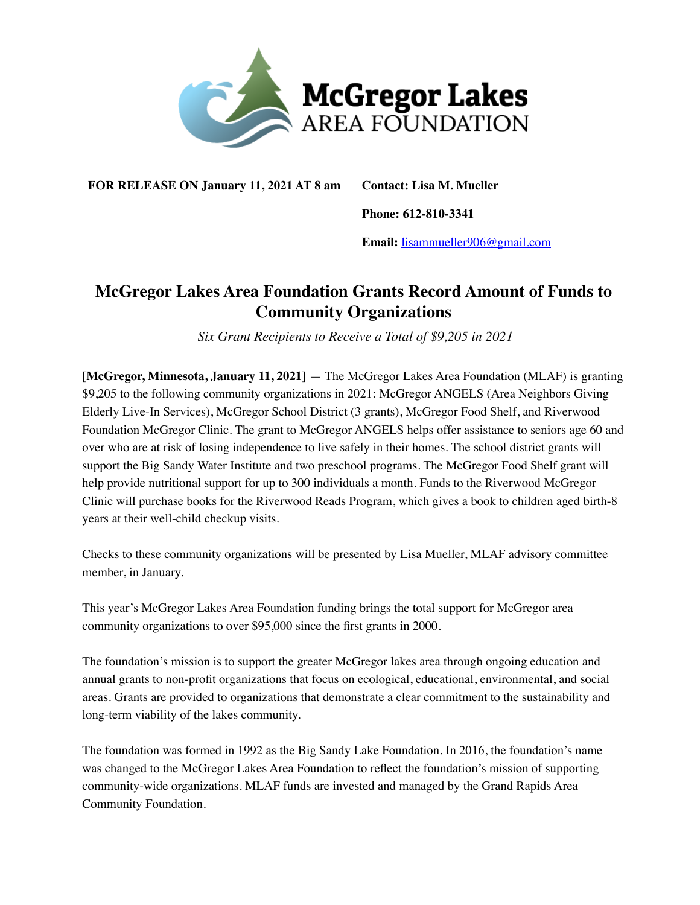

**FOR RELEASE ON January 11, 2021 AT 8 am Contact: Lisa M. Mueller**

**Phone: 612-810-3341**

**Email:** [lisammueller906@gmail.com](mailto:lisammueller906@gmail.com)

## **McGregor Lakes Area Foundation Grants Record Amount of Funds to Community Organizations**

 *Six Grant Recipients to Receive a Total of \$9,205 in 2021* 

**[McGregor, Minnesota, January 11, 2021]** — The McGregor Lakes Area Foundation (MLAF) is granting \$9,205 to the following community organizations in 2021: McGregor ANGELS (Area Neighbors Giving Elderly Live-In Services), McGregor School District (3 grants), McGregor Food Shelf, and Riverwood Foundation McGregor Clinic. The grant to McGregor ANGELS helps offer assistance to seniors age 60 and over who are at risk of losing independence to live safely in their homes. The school district grants will support the Big Sandy Water Institute and two preschool programs. The McGregor Food Shelf grant will help provide nutritional support for up to 300 individuals a month. Funds to the Riverwood McGregor Clinic will purchase books for the Riverwood Reads Program, which gives a book to children aged birth-8 years at their well-child checkup visits.

Checks to these community organizations will be presented by Lisa Mueller, MLAF advisory committee member, in January.

This year's McGregor Lakes Area Foundation funding brings the total support for McGregor area community organizations to over \$95,000 since the first grants in 2000.

The foundation's mission is to support the greater McGregor lakes area through ongoing education and annual grants to non-profit organizations that focus on ecological, educational, environmental, and social areas. Grants are provided to organizations that demonstrate a clear commitment to the sustainability and long-term viability of the lakes community.

The foundation was formed in 1992 as the Big Sandy Lake Foundation. In 2016, the foundation's name was changed to the McGregor Lakes Area Foundation to reflect the foundation's mission of supporting community-wide organizations. MLAF funds are invested and managed by the Grand Rapids Area Community Foundation.